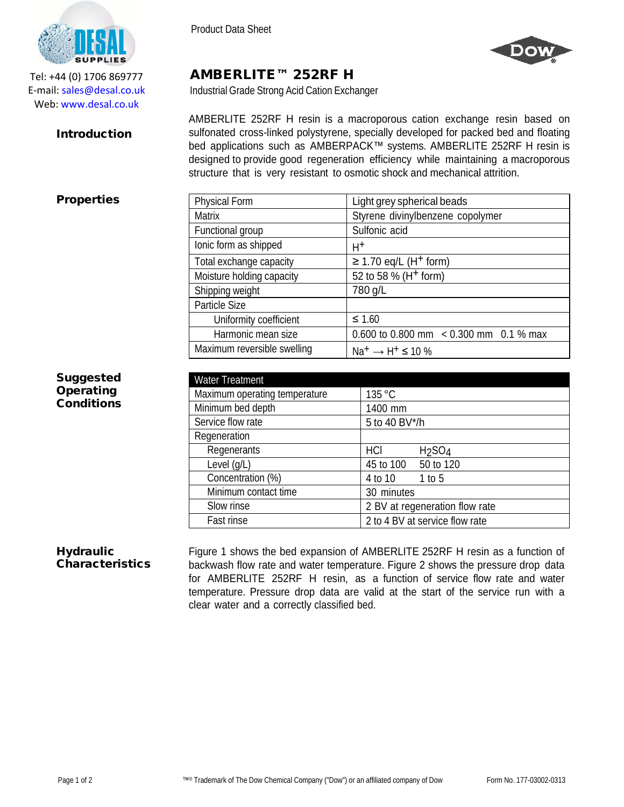

Tel: +44 (0) 1706 869777 E‐mail: sales@desal.co.uk Web: www.desal.co.uk

### **Introduction**

Product Data Sheet

Particle Size



# AMBERLITE™ 252RF H

Industrial Grade Strong Acid Cation Exchanger

Functional group Sulfonic acid

Total exchange capacity  $| \geq 1.70$  eq/L (H<sup>+</sup> form) Moisture holding capacity  $\begin{array}{|l|l|} \hline \end{array}$  52 to 58 % (H<sup>+</sup> form)

Ionic form as shipped  $\vert$  H+

Shipping weight 780 g/L

Uniformity coefficient  $| \leq 1.60$ 

Maximum reversible swelling  $Na^+ \rightarrow H^+ \leq 10\%$ 

AMBERLITE 252RF H resin is a macroporous cation exchange resin based on sulfonated cross-linked polystyrene, specially developed for packed bed and floating bed applications such as AMBERPACK™ systems. AMBERLITE 252RF H resin is designed to provide good regeneration efficiency while maintaining a macroporous structure that is very resistant to osmotic shock and mechanical attrition.

Matrix  $\vert$  Styrene divinylbenzene copolymer

## **Properties** Physical Form and Light grey spherical beads

**Suggested Operating** Conditions

| <b>Water Treatment</b>        |                                       |
|-------------------------------|---------------------------------------|
| Maximum operating temperature | 135 °C                                |
| Minimum bed depth             | 1400 mm                               |
| Service flow rate             | 5 to 40 BV*/h                         |
| Regeneration                  |                                       |
| Regenerants                   | HCI<br>H <sub>2</sub> SO <sub>4</sub> |
| Level $(q/L)$                 | 50 to 120<br>45 to 100                |
| Concentration (%)             | 4 to 10<br>1 to 5                     |
| Minimum contact time          | 30 minutes                            |
| Slow rinse                    | 2 BV at regeneration flow rate        |
| Fast rinse                    | 2 to 4 BV at service flow rate        |

Harmonic mean size  $\begin{bmatrix} 0.600 \text{ to } 0.800 \text{ mm} < 0.300 \text{ mm} & 0.1 \% \text{ max} \end{bmatrix}$ 

#### **Hydraulic** Characteristics

Figure 1 shows the bed expansion of AMBERLITE 252RF H resin as a function of backwash flow rate and water temperature. Figure 2 shows the pressure drop data for AMBERLITE 252RF H resin, as a function of service flow rate and water temperature. Pressure drop data are valid at the start of the service run with a clear water and a correctly classified bed.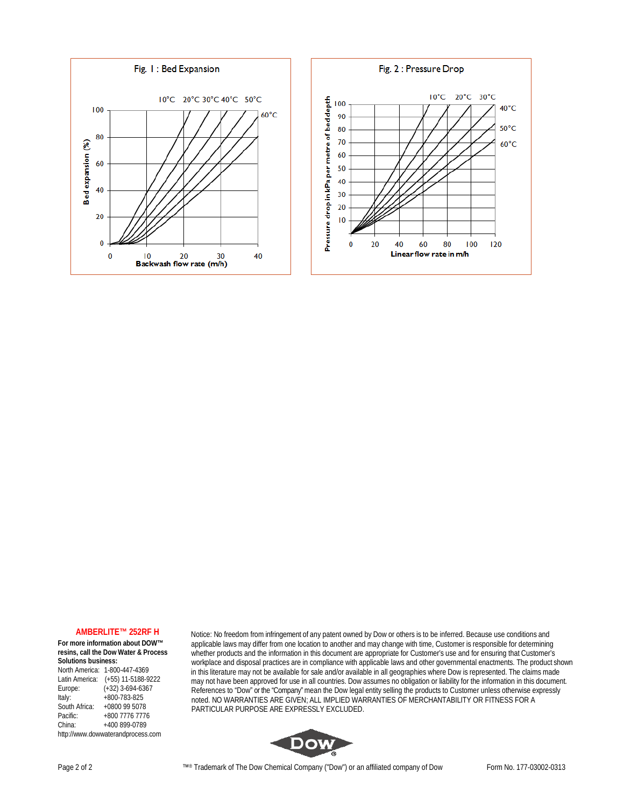



#### **AMBERLITE™ 252RF H**

**For more information about DOW™ resins, call the Dow Water & Process Solutions business:**

North America: 1-800-447-4369 Latin America: (+55) 11-5188-9222<br>Europe: (+32) 3-694-6367 Europe: (+32) 3-694-6367<br>Italy: +800-783-825 Italy: +800-783-825<br>South Africa: +0800 99 5078 South Africa: +0800 99 5078<br>Pacific: +800 7776 7776 Pacific: +800 7776 7776 China: +400 899-0789 [http://www.dowwaterandprocess.com](http://www.dowwaterandprocess.com/) Notice: No freedom from infringement of any patent owned by Dow or others is to be inferred. Because use conditions and applicable laws may differ from one location to another and may change with time, Customer is responsible for determining whether products and the information in this document are appropriate for Customer's use and for ensuring that Customer's workplace and disposal practices are in compliance with applicable laws and other governmental enactments. The product shown in this literature may not be available for sale and/or available in all geographies where Dow is represented. The claims made may not have been approved for use in all countries. Dow assumes no obligation or liability for the information in this document. References to "Dow" or the "Company" mean the Dow legal entity selling the products to Customer unless otherwise expressly noted. NO WARRANTIES ARE GIVEN; ALL IMPLIED WARRANTIES OF MERCHANTABILITY OR FITNESS FOR A PARTICULAR PURPOSE ARE EXPRESSLY EXCLUDED.